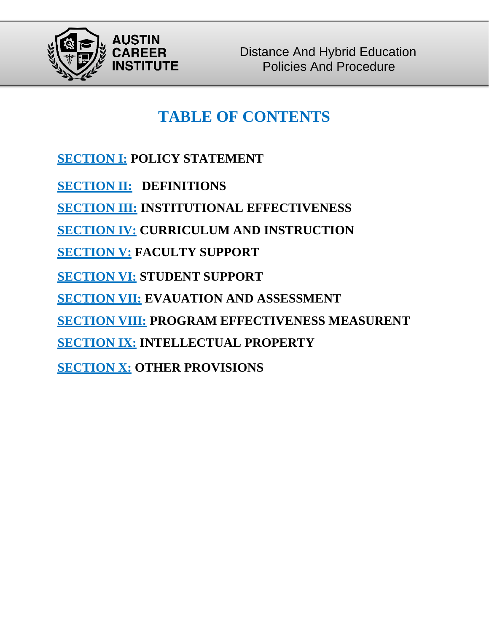

# **TABLE OF CONTENTS**

**SECTION I: POLICY STATEMENT**

**SECTION II: DEFINITIONS**

**SECTION III: INSTITUTIONAL EFFECTIVENESS**

**SECTION IV: CURRICULUM AND INSTRUCTION**

**SECTION V: FACULTY SUPPORT**

**SECTION VI: STUDENT SUPPORT**

**SECTION VII: EVAUATION AND ASSESSMENT**

**SECTION VIII: PROGRAM EFFECTIVENESS MEASURENT**

**SECTION IX: INTELLECTUAL PROPERTY**

**SECTION X: OTHER PROVISIONS**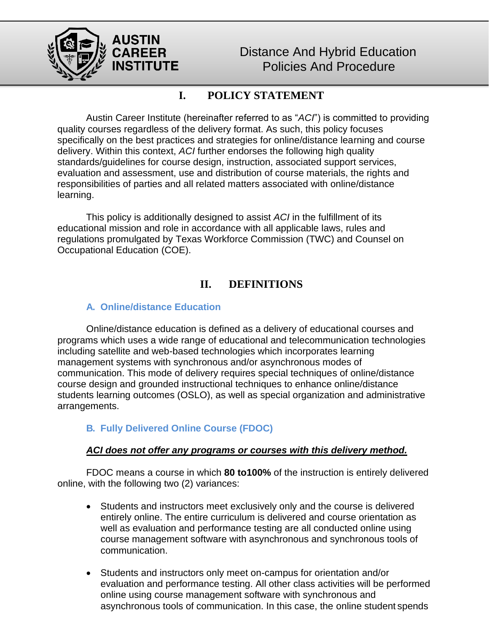

## **I. POLICY STATEMENT**

Austin Career Institute (hereinafter referred to as "*ACI*") is committed to providing quality courses regardless of the delivery format. As such, this policy focuses specifically on the best practices and strategies for online/distance learning and course delivery. Within this context, *ACI* further endorses the following high quality standards/guidelines for course design, instruction, associated support services, evaluation and assessment, use and distribution of course materials, the rights and responsibilities of parties and all related matters associated with online/distance learning.

This policy is additionally designed to assist *ACI* in the fulfillment of its educational mission and role in accordance with all applicable laws, rules and regulations promulgated by Texas Workforce Commission (TWC) and Counsel on Occupational Education (COE).

## **II. DEFINITIONS**

#### **A. Online/distance Education**

Online/distance education is defined as a delivery of educational courses and programs which uses a wide range of educational and telecommunication technologies including satellite and web-based technologies which incorporates learning management systems with synchronous and/or asynchronous modes of communication. This mode of delivery requires special techniques of online/distance course design and grounded instructional techniques to enhance online/distance students learning outcomes (OSLO), as well as special organization and administrative arrangements.

### **B. Fully Delivered Online Course (FDOC)**

#### *ACI does not offer any programs or courses with this delivery method.*

FDOC means a course in which **80 to100%** of the instruction is entirely delivered online, with the following two (2) variances:

- Students and instructors meet exclusively only and the course is delivered entirely online. The entire curriculum is delivered and course orientation as well as evaluation and performance testing are all conducted online using course management software with asynchronous and synchronous tools of communication.
- Students and instructors only meet on-campus for orientation and/or evaluation and performance testing. All other class activities will be performed online using course management software with synchronous and asynchronous tools of communication. In this case, the online student spends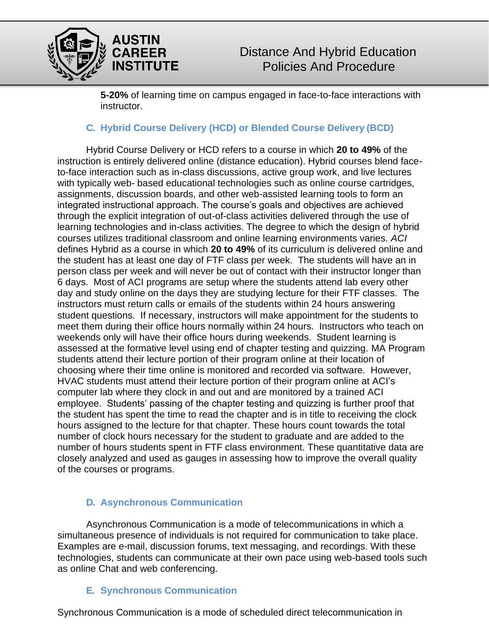

**5-20%** of learning time on campus engaged in face-to-face interactions with instructor.

#### **C. Hybrid Course Delivery (HCD) or Blended Course Delivery (BCD)**

Hybrid Course Delivery or HCD refers to a course in which **20 to 49%** of the instruction is entirely delivered online (distance education). Hybrid courses blend faceto-face interaction such as in-class discussions, active group work, and live lectures with typically web- based educational technologies such as online course cartridges, assignments, discussion boards, and other web-assisted learning tools to form an integrated instructional approach. The course's goals and objectives are achieved through the explicit integration of out-of-class activities delivered through the use of learning technologies and in-class activities. The degree to which the design of hybrid courses utilizes traditional classroom and online learning environments varies. *ACI* defines Hybrid as a course in which **20 to 49%** of its curriculum is delivered online and the student has at least one day of FTF class per week. The students will have an in person class per week and will never be out of contact with their instructor longer than 6 days. Most of ACI programs are setup where the students attend lab every other day and study online on the days they are studying lecture for their FTF classes. The instructors must return calls or emails of the students within 24 hours answering student questions. If necessary, instructors will make appointment for the students to meet them during their office hours normally within 24 hours. Instructors who teach on weekends only will have their office hours during weekends. Student learning is assessed at the formative level using end of chapter testing and quizzing. MA Program students attend their lecture portion of their program online at their location of choosing where their time online is monitored and recorded via software. However, HVAC students must attend their lecture portion of their program online at ACI's computer lab where they clock in and out and are monitored by a trained ACI employee. Students' passing of the chapter testing and quizzing is further proof that the student has spent the time to read the chapter and is in title to receiving the clock hours assigned to the lecture for that chapter. These hours count towards the total number of clock hours necessary for the student to graduate and are added to the number of hours students spent in FTF class environment. These quantitative data are closely analyzed and used as gauges in assessing how to improve the overall quality of the courses or programs.

#### **D. Asynchronous Communication**

Asynchronous Communication is a mode of telecommunications in which a simultaneous presence of individuals is not required for communication to take place. Examples are e-mail, discussion forums, text messaging, and recordings. With these technologies, students can communicate at their own pace using web-based tools such as online Chat and web conferencing.

### **E. Synchronous Communication**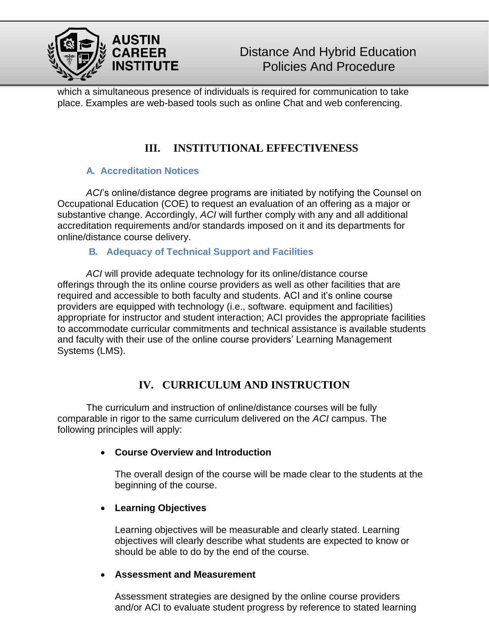

which a simultaneous presence of individuals is required for communication to take place. Examples are web-based tools such as online Chat and web conferencing.

# **III. INSTITUTIONAL EFFECTIVENESS**

#### **A. Accreditation Notices**

*ACI*'s online/distance degree programs are initiated by notifying the Counsel on Occupational Education (COE) to request an evaluation of an offering as a major or substantive change. Accordingly, *ACI* will further comply with any and all additional accreditation requirements and/or standards imposed on it and its departments for online/distance course delivery.

#### **B. Adequacy of Technical Support and Facilities**

*ACI* will provide adequate technology for its online/distance course offerings through the its online course providers as well as other facilities that are required and accessible to both faculty and students. ACI and it's online course providers are equipped with technology (i.e., software. equipment and facilities) appropriate for instructor and student interaction; ACI provides the appropriate facilities to accommodate curricular commitments and technical assistance is available students and faculty with their use of the online course providers' Learning Management Systems (LMS).

## **IV. CURRICULUM AND INSTRUCTION**

The curriculum and instruction of online/distance courses will be fully comparable in rigor to the same curriculum delivered on the *ACI* campus. The following principles will apply:

#### • **Course Overview and Introduction**

The overall design of the course will be made clear to the students at the beginning of the course.

#### • **Learning Objectives**

Learning objectives will be measurable and clearly stated. Learning objectives will clearly describe what students are expected to know or should be able to do by the end of the course.

#### • **Assessment and Measurement**

Assessment strategies are designed by the online course providers and/or ACI to evaluate student progress by reference to stated learning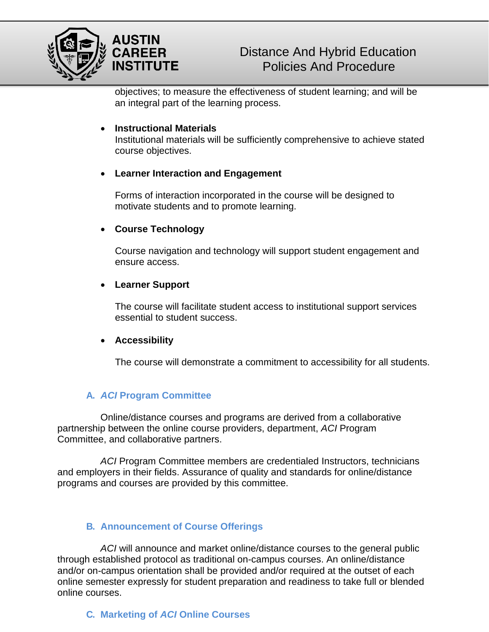

objectives; to measure the effectiveness of student learning; and will be an integral part of the learning process.

#### • **Instructional Materials**

Institutional materials will be sufficiently comprehensive to achieve stated course objectives.

#### • **Learner Interaction and Engagement**

Forms of interaction incorporated in the course will be designed to motivate students and to promote learning.

#### • **Course Technology**

Course navigation and technology will support student engagement and ensure access.

#### • **Learner Support**

The course will facilitate student access to institutional support services essential to student success.

#### • **Accessibility**

The course will demonstrate a commitment to accessibility for all students.

#### **A.** *ACI* **Program Committee**

Online/distance courses and programs are derived from a collaborative partnership between the online course providers, department, *ACI* Program Committee, and collaborative partners.

*ACI* Program Committee members are credentialed Instructors, technicians and employers in their fields. Assurance of quality and standards for online/distance programs and courses are provided by this committee.

#### **B. Announcement of Course Offerings**

*ACI* will announce and market online/distance courses to the general public through established protocol as traditional on-campus courses. An online/distance and/or on-campus orientation shall be provided and/or required at the outset of each online semester expressly for student preparation and readiness to take full or blended online courses.

**C. Marketing of** *ACI* **Online Courses**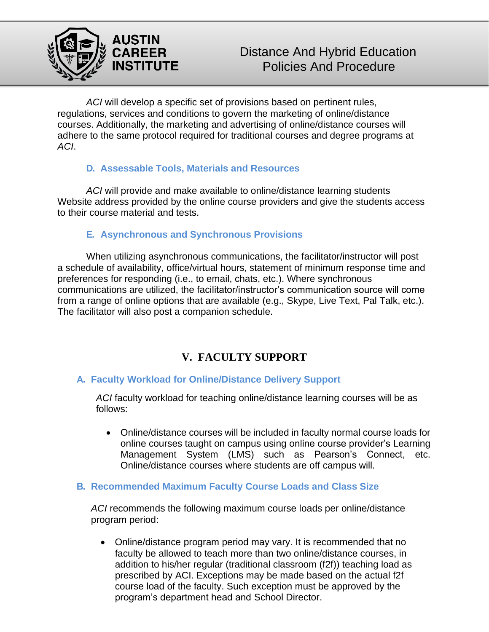

*ACI* will develop a specific set of provisions based on pertinent rules, regulations, services and conditions to govern the marketing of online/distance courses. Additionally, the marketing and advertising of online/distance courses will adhere to the same protocol required for traditional courses and degree programs at *ACI*.

#### **D. Assessable Tools, Materials and Resources**

*ACI* will provide and make available to online/distance learning students Website address provided by the online course providers and give the students access to their course material and tests.

#### **E. Asynchronous and Synchronous Provisions**

When utilizing asynchronous communications, the facilitator/instructor will post a schedule of availability, office/virtual hours, statement of minimum response time and preferences for responding (i.e., to email, chats, etc.). Where synchronous communications are utilized, the facilitator/instructor's communication source will come from a range of online options that are available (e.g., Skype, Live Text, Pal Talk, etc.). The facilitator will also post a companion schedule.

## **V. FACULTY SUPPORT**

#### **A. Faculty Workload for Online/Distance Delivery Support**

*ACI* faculty workload for teaching online/distance learning courses will be as follows:

• Online/distance courses will be included in faculty normal course loads for online courses taught on campus using online course provider's Learning Management System (LMS) such as Pearson's Connect, etc. Online/distance courses where students are off campus will.

#### **B. Recommended Maximum Faculty Course Loads and Class Size**

*ACI* recommends the following maximum course loads per online/distance program period:

• Online/distance program period may vary. It is recommended that no faculty be allowed to teach more than two online/distance courses, in addition to his/her regular (traditional classroom (f2f)) teaching load as prescribed by ACI. Exceptions may be made based on the actual f2f course load of the faculty. Such exception must be approved by the program's department head and School Director.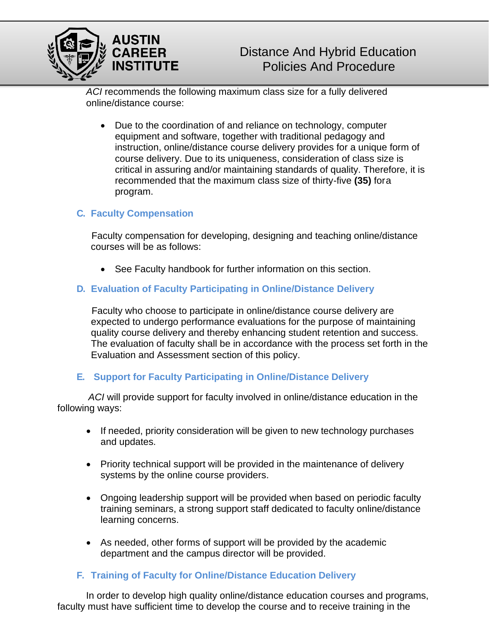

*ACI* recommends the following maximum class size for a fully delivered online/distance course:

• Due to the coordination of and reliance on technology, computer equipment and software, together with traditional pedagogy and instruction, online/distance course delivery provides for a unique form of course delivery. Due to its uniqueness, consideration of class size is critical in assuring and/or maintaining standards of quality. Therefore, it is recommended that the maximum class size of thirty-five **(35)** fora program.

#### **C. Faculty Compensation**

Faculty compensation for developing, designing and teaching online/distance courses will be as follows:

• See Faculty handbook for further information on this section.

#### **D. Evaluation of Faculty Participating in Online/Distance Delivery**

Faculty who choose to participate in online/distance course delivery are expected to undergo performance evaluations for the purpose of maintaining quality course delivery and thereby enhancing student retention and success. The evaluation of faculty shall be in accordance with the process set forth in the Evaluation and Assessment section of this policy.

#### **E. Support for Faculty Participating in Online/Distance Delivery**

*ACI* will provide support for faculty involved in online/distance education in the following ways:

- If needed, priority consideration will be given to new technology purchases and updates.
- Priority technical support will be provided in the maintenance of delivery systems by the online course providers.
- Ongoing leadership support will be provided when based on periodic faculty training seminars, a strong support staff dedicated to faculty online/distance learning concerns.
- As needed, other forms of support will be provided by the academic department and the campus director will be provided.

#### **F. Training of Faculty for Online/Distance Education Delivery**

In order to develop high quality online/distance education courses and programs, faculty must have sufficient time to develop the course and to receive training in the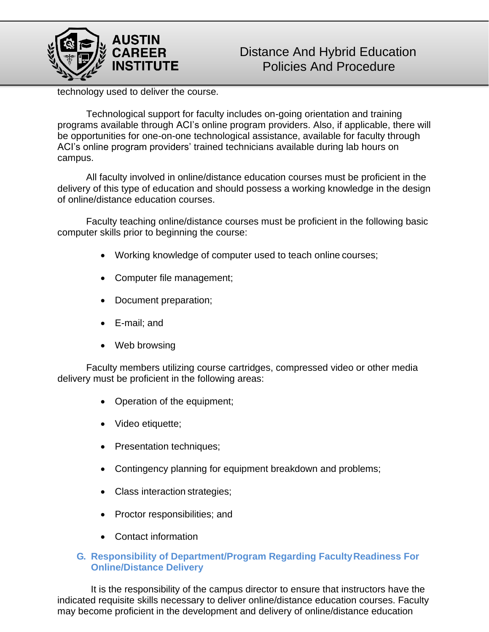

technology used to deliver the course.

Technological support for faculty includes on-going orientation and training programs available through ACI's online program providers. Also, if applicable, there will be opportunities for one-on-one technological assistance, available for faculty through ACI's online program providers' trained technicians available during lab hours on campus.

All faculty involved in online/distance education courses must be proficient in the delivery of this type of education and should possess a working knowledge in the design of online/distance education courses.

Faculty teaching online/distance courses must be proficient in the following basic computer skills prior to beginning the course:

- Working knowledge of computer used to teach online courses;
- Computer file management;
- Document preparation;
- E-mail; and
- Web browsing

Faculty members utilizing course cartridges, compressed video or other media delivery must be proficient in the following areas:

- Operation of the equipment;
- Video etiquette;
- Presentation techniques;
- Contingency planning for equipment breakdown and problems;
- Class interaction strategies;
- Proctor responsibilities; and
- Contact information

#### **G. Responsibility of Department/Program Regarding FacultyReadiness For Online/Distance Delivery**

It is the responsibility of the campus director to ensure that instructors have the indicated requisite skills necessary to deliver online/distance education courses. Faculty may become proficient in the development and delivery of online/distance education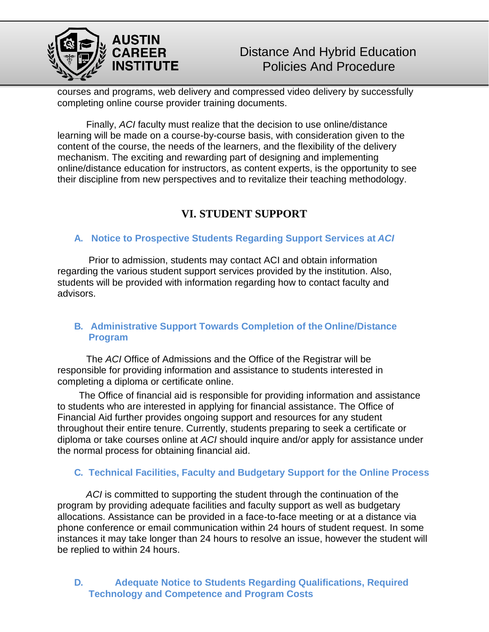

courses and programs, web delivery and compressed video delivery by successfully completing online course provider training documents.

Finally, *ACI* faculty must realize that the decision to use online/distance learning will be made on a course-by-course basis, with consideration given to the content of the course, the needs of the learners, and the flexibility of the delivery mechanism. The exciting and rewarding part of designing and implementing online/distance education for instructors, as content experts, is the opportunity to see their discipline from new perspectives and to revitalize their teaching methodology.

## **VI. STUDENT SUPPORT**

#### **A. Notice to Prospective Students Regarding Support Services at** *ACI*

Prior to admission, students may contact ACI and obtain information regarding the various student support services provided by the institution. Also, students will be provided with information regarding how to contact faculty and advisors.

#### **B. Administrative Support Towards Completion of the Online/Distance Program**

The *ACI* Office of Admissions and the Office of the Registrar will be responsible for providing information and assistance to students interested in completing a diploma or certificate online.

The Office of financial aid is responsible for providing information and assistance to students who are interested in applying for financial assistance. The Office of Financial Aid further provides ongoing support and resources for any student throughout their entire tenure. Currently, students preparing to seek a certificate or diploma or take courses online at *ACI* should inquire and/or apply for assistance under the normal process for obtaining financial aid.

#### **C. Technical Facilities, Faculty and Budgetary Support for the Online Process**

*ACI* is committed to supporting the student through the continuation of the program by providing adequate facilities and faculty support as well as budgetary allocations. Assistance can be provided in a face-to-face meeting or at a distance via phone conference or email communication within 24 hours of student request. In some instances it may take longer than 24 hours to resolve an issue, however the student will be replied to within 24 hours.

#### **D. Adequate Notice to Students Regarding Qualifications, Required Technology and Competence and Program Costs**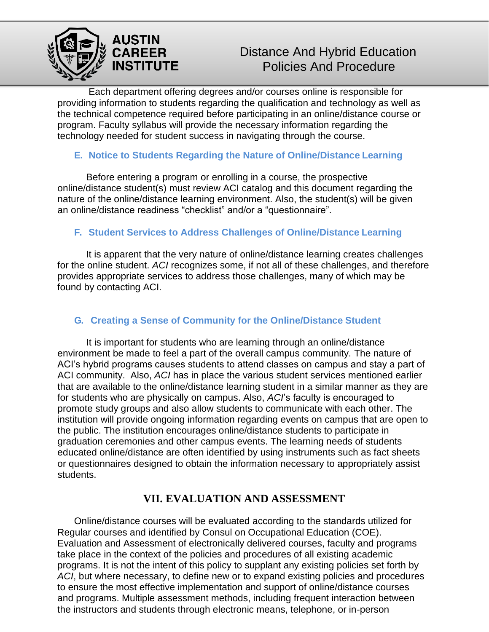

Each department offering degrees and/or courses online is responsible for providing information to students regarding the qualification and technology as well as the technical competence required before participating in an online/distance course or program. Faculty syllabus will provide the necessary information regarding the technology needed for student success in navigating through the course.

#### **E. Notice to Students Regarding the Nature of Online/Distance Learning**

Before entering a program or enrolling in a course, the prospective online/distance student(s) must review ACI catalog and this document regarding the nature of the online/distance learning environment. Also, the student(s) will be given an online/distance readiness "checklist" and/or a "questionnaire".

#### **F. Student Services to Address Challenges of Online/Distance Learning**

It is apparent that the very nature of online/distance learning creates challenges for the online student. *ACI* recognizes some, if not all of these challenges, and therefore provides appropriate services to address those challenges, many of which may be found by contacting ACI.

#### **G. Creating a Sense of Community for the Online/Distance Student**

It is important for students who are learning through an online/distance environment be made to feel a part of the overall campus community. The nature of ACI's hybrid programs causes students to attend classes on campus and stay a part of ACI community. Also, *ACI* has in place the various student services mentioned earlier that are available to the online/distance learning student in a similar manner as they are for students who are physically on campus. Also, *ACI*'s faculty is encouraged to promote study groups and also allow students to communicate with each other. The institution will provide ongoing information regarding events on campus that are open to the public. The institution encourages online/distance students to participate in graduation ceremonies and other campus events. The learning needs of students educated online/distance are often identified by using instruments such as fact sheets or questionnaires designed to obtain the information necessary to appropriately assist students.

## **VII. EVALUATION AND ASSESSMENT**

Online/distance courses will be evaluated according to the standards utilized for Regular courses and identified by Consul on Occupational Education (COE). Evaluation and Assessment of electronically delivered courses, faculty and programs take place in the context of the policies and procedures of all existing academic programs. It is not the intent of this policy to supplant any existing policies set forth by *ACI*, but where necessary, to define new or to expand existing policies and procedures to ensure the most effective implementation and support of online/distance courses and programs. Multiple assessment methods, including frequent interaction between the instructors and students through electronic means, telephone, or in-person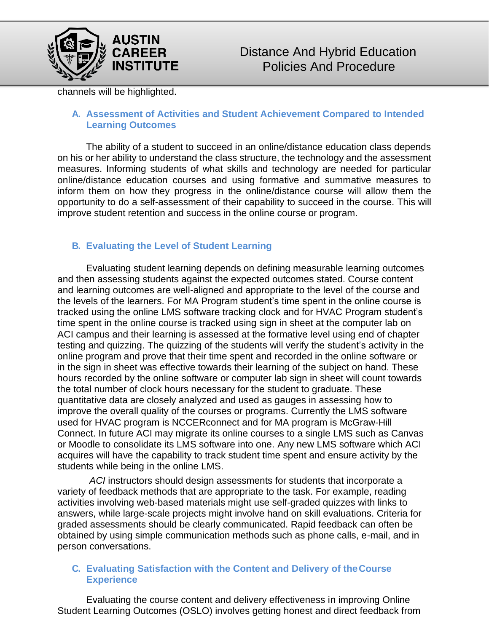

channels will be highlighted.

#### **A. Assessment of Activities and Student Achievement Compared to Intended Learning Outcomes**

The ability of a student to succeed in an online/distance education class depends on his or her ability to understand the class structure, the technology and the assessment measures. Informing students of what skills and technology are needed for particular online/distance education courses and using formative and summative measures to inform them on how they progress in the online/distance course will allow them the opportunity to do a self-assessment of their capability to succeed in the course. This will improve student retention and success in the online course or program.

### **B. Evaluating the Level of Student Learning**

Evaluating student learning depends on defining measurable learning outcomes and then assessing students against the expected outcomes stated. Course content and learning outcomes are well-aligned and appropriate to the level of the course and the levels of the learners. For MA Program student's time spent in the online course is tracked using the online LMS software tracking clock and for HVAC Program student's time spent in the online course is tracked using sign in sheet at the computer lab on ACI campus and their learning is assessed at the formative level using end of chapter testing and quizzing. The quizzing of the students will verify the student's activity in the online program and prove that their time spent and recorded in the online software or in the sign in sheet was effective towards their learning of the subject on hand. These hours recorded by the online software or computer lab sign in sheet will count towards the total number of clock hours necessary for the student to graduate. These quantitative data are closely analyzed and used as gauges in assessing how to improve the overall quality of the courses or programs. Currently the LMS software used for HVAC program is NCCERconnect and for MA program is McGraw-Hill Connect. In future ACI may migrate its online courses to a single LMS such as Canvas or Moodle to consolidate its LMS software into one. Any new LMS software which ACI acquires will have the capability to track student time spent and ensure activity by the students while being in the online LMS.

*ACI* instructors should design assessments for students that incorporate a variety of feedback methods that are appropriate to the task. For example, reading activities involving web-based materials might use self-graded quizzes with links to answers, while large-scale projects might involve hand on skill evaluations. Criteria for graded assessments should be clearly communicated. Rapid feedback can often be obtained by using simple communication methods such as phone calls, e-mail, and in person conversations.

#### **C. Evaluating Satisfaction with the Content and Delivery of theCourse Experience**

Evaluating the course content and delivery effectiveness in improving Online Student Learning Outcomes (OSLO) involves getting honest and direct feedback from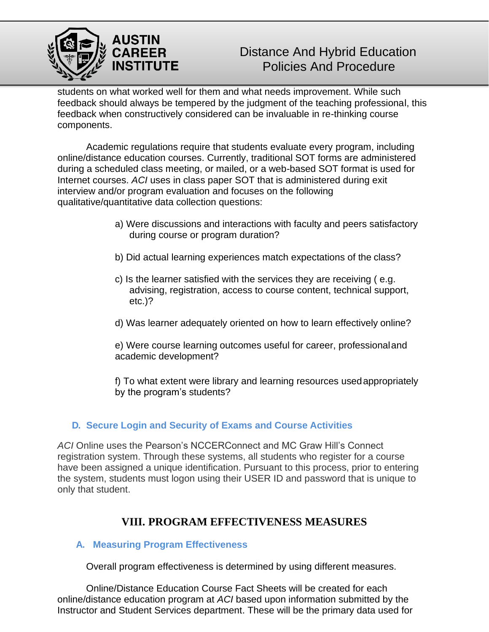

students on what worked well for them and what needs improvement. While such feedback should always be tempered by the judgment of the teaching professional, this feedback when constructively considered can be invaluable in re-thinking course components.

Academic regulations require that students evaluate every program, including online/distance education courses. Currently, traditional SOT forms are administered during a scheduled class meeting, or mailed, or a web-based SOT format is used for Internet courses. *ACI* uses in class paper SOT that is administered during exit interview and/or program evaluation and focuses on the following qualitative/quantitative data collection questions:

- a) Were discussions and interactions with faculty and peers satisfactory during course or program duration?
- b) Did actual learning experiences match expectations of the class?
- c) Is the learner satisfied with the services they are receiving ( e.g. advising, registration, access to course content, technical support, etc.)?
- d) Was learner adequately oriented on how to learn effectively online?

e) Were course learning outcomes useful for career, professionaland academic development?

f) To what extent were library and learning resources usedappropriately by the program's students?

#### **D. Secure Login and Security of Exams and Course Activities**

*ACI* Online uses the Pearson's NCCERConnect and MC Graw Hill's Connect registration system. Through these systems, all students who register for a course have been assigned a unique identification. Pursuant to this process, prior to entering the system, students must logon using their USER ID and password that is unique to only that student.

## **VIII. PROGRAM EFFECTIVENESS MEASURES**

#### **A. Measuring Program Effectiveness**

Overall program effectiveness is determined by using different measures.

Online/Distance Education Course Fact Sheets will be created for each online/distance education program at *ACI* based upon information submitted by the Instructor and Student Services department. These will be the primary data used for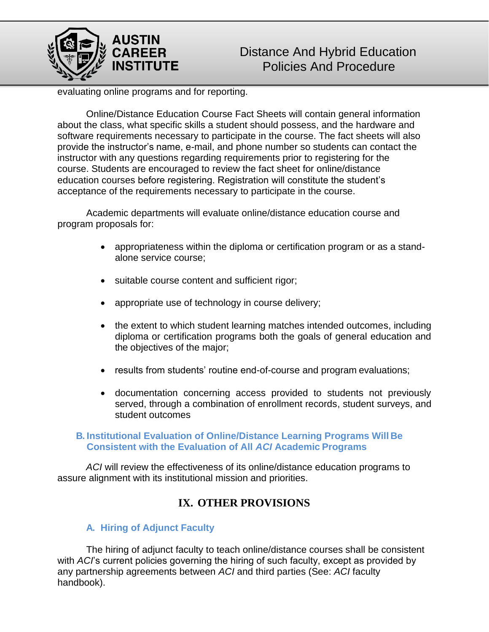

evaluating online programs and for reporting.

Online/Distance Education Course Fact Sheets will contain general information about the class, what specific skills a student should possess, and the hardware and software requirements necessary to participate in the course. The fact sheets will also provide the instructor's name, e-mail, and phone number so students can contact the instructor with any questions regarding requirements prior to registering for the course. Students are encouraged to review the fact sheet for online/distance education courses before registering. Registration will constitute the student's acceptance of the requirements necessary to participate in the course.

Academic departments will evaluate online/distance education course and program proposals for:

- appropriateness within the diploma or certification program or as a standalone service course;
- suitable course content and sufficient rigor;
- appropriate use of technology in course delivery;
- the extent to which student learning matches intended outcomes, including diploma or certification programs both the goals of general education and the objectives of the major;
- results from students' routine end-of-course and program evaluations;
- documentation concerning access provided to students not previously served, through a combination of enrollment records, student surveys, and student outcomes

#### **B. Institutional Evaluation of Online/Distance Learning Programs Will Be Consistent with the Evaluation of All** *ACI* **Academic Programs**

*ACI* will review the effectiveness of its online/distance education programs to assure alignment with its institutional mission and priorities.

## **IX. OTHER PROVISIONS**

#### **A. Hiring of Adjunct Faculty**

The hiring of adjunct faculty to teach online/distance courses shall be consistent with *ACI*'s current policies governing the hiring of such faculty, except as provided by any partnership agreements between *ACI* and third parties (See: *ACI* faculty handbook).